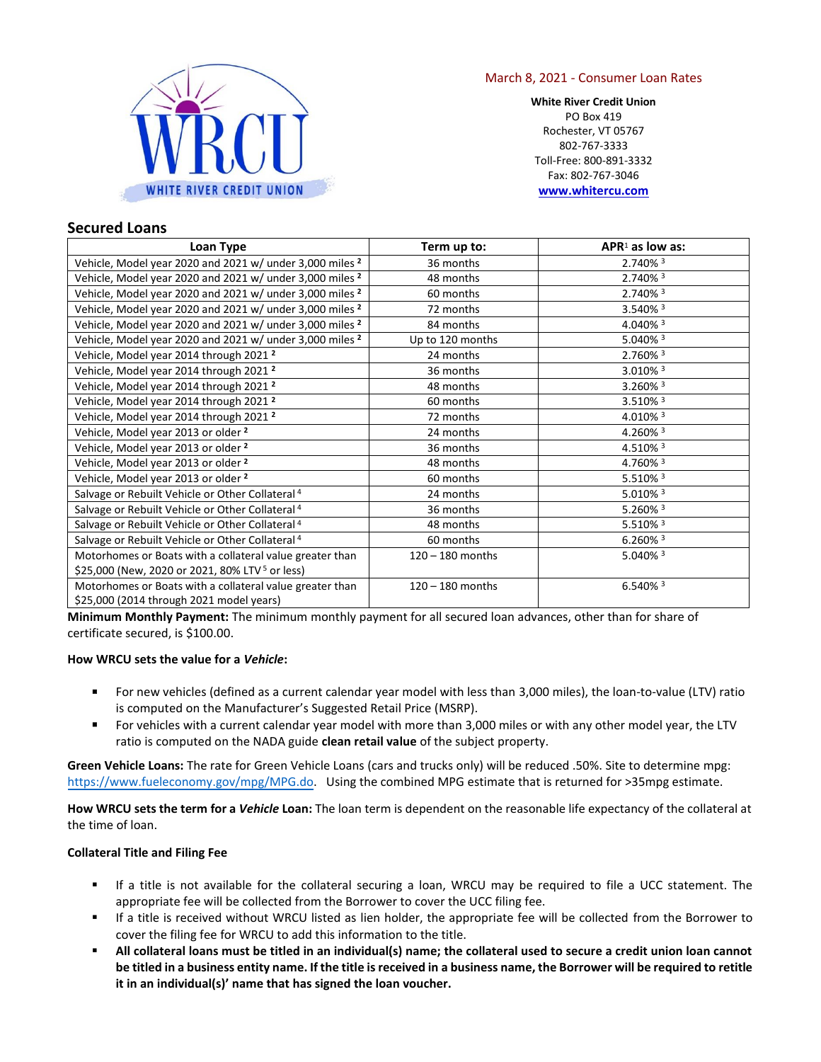

## March 8, 2021 - Consumer Loan Rates

**White River Credit Union**  PO Box 419 Rochester, VT 05767 802-767-3333 Toll-Free: 800-891-3332 Fax: 802-767-3046 **[www.whitercu.com](http://www.whitercu.com/)** 

## **Secured Loans**

| Loan Type                                                           | Term up to:        | $APR1$ as low as:      |  |  |
|---------------------------------------------------------------------|--------------------|------------------------|--|--|
| Vehicle, Model year 2020 and 2021 w/ under 3,000 miles <sup>2</sup> | 36 months          | 2.740% 3               |  |  |
| Vehicle, Model year 2020 and 2021 w/ under 3,000 miles <sup>2</sup> | 48 months          | 2.740% 3               |  |  |
| Vehicle, Model year 2020 and 2021 w/ under 3,000 miles <sup>2</sup> | 60 months          | 2.740% 3               |  |  |
| Vehicle, Model year 2020 and 2021 w/ under 3,000 miles <sup>2</sup> | 72 months          | 3.540% 3               |  |  |
| Vehicle, Model year 2020 and 2021 w/ under 3,000 miles <sup>2</sup> | 84 months          | 4.040% 3               |  |  |
| Vehicle, Model year 2020 and 2021 w/ under 3,000 miles <sup>2</sup> | Up to 120 months   | 5.040% 3               |  |  |
| Vehicle, Model year 2014 through 2021 <sup>2</sup>                  | 24 months          | 2.760% 3               |  |  |
| Vehicle, Model year 2014 through 2021 <sup>2</sup>                  | 36 months          | 3.010% 3               |  |  |
| Vehicle, Model year 2014 through 2021 <sup>2</sup>                  | 48 months          | $3.260\%$ <sup>3</sup> |  |  |
| Vehicle, Model year 2014 through 2021 <sup>2</sup>                  | 60 months          | 3.510% 3               |  |  |
| Vehicle, Model year 2014 through 2021 <sup>2</sup>                  | 72 months          | 4.010% 3               |  |  |
| Vehicle, Model year 2013 or older <sup>2</sup>                      | 24 months          | 4.260% 3               |  |  |
| Vehicle, Model year 2013 or older <sup>2</sup>                      | 36 months          | 4.510% 3               |  |  |
| Vehicle, Model year 2013 or older <sup>2</sup>                      | 48 months          | 4.760% 3               |  |  |
| Vehicle, Model year 2013 or older <sup>2</sup>                      | 60 months          | 5.510% 3               |  |  |
| Salvage or Rebuilt Vehicle or Other Collateral <sup>4</sup>         | 24 months          | 5.010% 3               |  |  |
| Salvage or Rebuilt Vehicle or Other Collateral <sup>4</sup>         | 36 months          | 5.260% 3               |  |  |
| Salvage or Rebuilt Vehicle or Other Collateral <sup>4</sup>         | 48 months          | 5.510% 3               |  |  |
| Salvage or Rebuilt Vehicle or Other Collateral <sup>4</sup>         | 60 months          | $6.260\%$ <sup>3</sup> |  |  |
| Motorhomes or Boats with a collateral value greater than            | $120 - 180$ months | 5.040% 3               |  |  |
| \$25,000 (New, 2020 or 2021, 80% LTV <sup>5</sup> or less)          |                    |                        |  |  |
| Motorhomes or Boats with a collateral value greater than            | $120 - 180$ months | $6.540\%$ <sup>3</sup> |  |  |
| \$25,000 (2014 through 2021 model years)                            |                    |                        |  |  |

**Minimum Monthly Payment:** The minimum monthly payment for all secured loan advances, other than for share of certificate secured, is \$100.00.

## **How WRCU sets the value for a** *Vehicle***:**

- For new vehicles (defined as a current calendar year model with less than 3,000 miles), the loan-to-value (LTV) ratio is computed on the Manufacturer's Suggested Retail Price (MSRP).
- For vehicles with a current calendar year model with more than 3,000 miles or with any other model year, the LTV ratio is computed on the NADA guide **clean retail value** of the subject property.

 **Green Vehicle Loans:** The rate for Green Vehicle Loans (cars and trucks only) will be reduced .50%. Site to determine mpg: [https://www.fueleconomy.gov/mpg/MPG.do](http://www.fueleconomy.gov/fed/powerSearch.jsp). Using the combined MPG estimate that is returned for >35mpg estimate.

**How WRCU sets the term for a** *Vehicle* **Loan:** The loan term is dependent on the reasonable life expectancy of the collateral at the time of loan.

#### **Collateral Title and Filing Fee**

- ▪ If a title is not available for the collateral securing a loan, WRCU may be required to file a UCC statement. The appropriate fee will be collected from the Borrower to cover the UCC filing fee.
- ▪ If a title is received without WRCU listed as lien holder, the appropriate fee will be collected from the Borrower to cover the filing fee for WRCU to add this information to the title.
- **All collateral loans must be titled in an individual(s) name; the collateral used to secure a credit union loan cannot be titled in a business entity name. If the title is received in a business name, the Borrower will be required to retitle it in an individual(s)' name that has signed the loan voucher.**